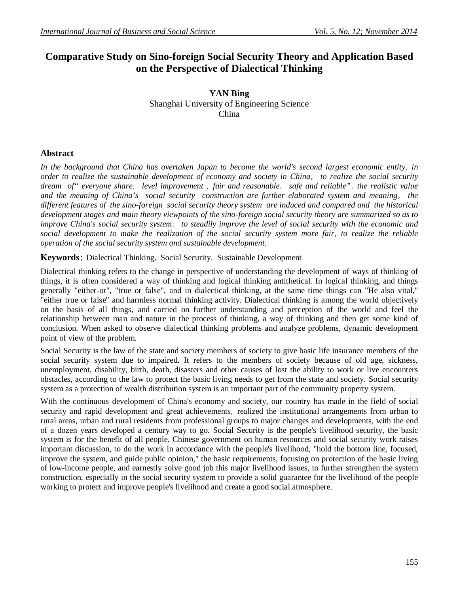# **Comparative Study on Sino-foreign Social Security Theory and Application Based on the Perspective of Dialectical Thinking**

**YAN Bing** Shanghai University of Engineering Science China

## **Abstract**

*In the background that China has overtaken Japan to become the world's second largest economic entity,in order to realize the sustainable development of economy and society in China, to realize the social security dream of" everyone share, level improvement ,fair and reasonable, safe and reliable",the realistic value and the meaning of China's social security construction are further elaborated system and meaning, the different features of the sino-foreign social security theory system are induced and compared and the historical development stages and main theory viewpoints of the sino-foreign social security theory are summarized so as to improve China's social security system, to steadily improve the level of social security with the economic and social development to make the realization of the social security system more fair,to realize the reliable operation of the social security system and sustainable development.*

**Keywords:** Dialectical Thinking, Social Security, Sustainable Development

Dialectical thinking refers to the change in perspective of understanding the development of ways of thinking of things, it is often considered a way of thinking and logical thinking antithetical. In logical thinking, and things generally "either-or", "true or false", and in dialectical thinking, at the same time things can "He also vital," "either true or false" and harmless normal thinking activity. Dialectical thinking is among the world objectively on the basis of all things, and carried on further understanding and perception of the world and feel the relationship between man and nature in the process of thinking, a way of thinking and then get some kind of conclusion. When asked to observe dialectical thinking problems and analyze problems, dynamic development point of view of the problem.

Social Security is the law of the state and society members of society to give basic life insurance members of the social security system due to impaired. It refers to the members of society because of old age, sickness, unemployment, disability, birth, death, disasters and other causes of lost the ability to work or live encounters obstacles, according to the law to protect the basic living needs to get from the state and society. Social security system as a protection of wealth distribution system is an important part of the community property system.

With the continuous development of China's economy and society, our country has made in the field of social security and rapid development and great achievements, realized the institutional arrangements from urban to rural areas, urban and rural residents from professional groups to major changes and developments, with the end of a dozen years developed a century way to go. Social Security is the people's livelihood security, the basic system is for the benefit of all people. Chinese government on human resources and social security work raises important discussion, to do the work in accordance with the people's livelihood, "hold the bottom line, focused, improve the system, and guide public opinion," the basic requirements, focusing on protection of the basic living of low-income people, and earnestly solve good job this major livelihood issues, to further strengthen the system construction, especially in the social security system to provide a solid guarantee for the livelihood of the people working to protect and improve people's livelihood and create a good social atmosphere.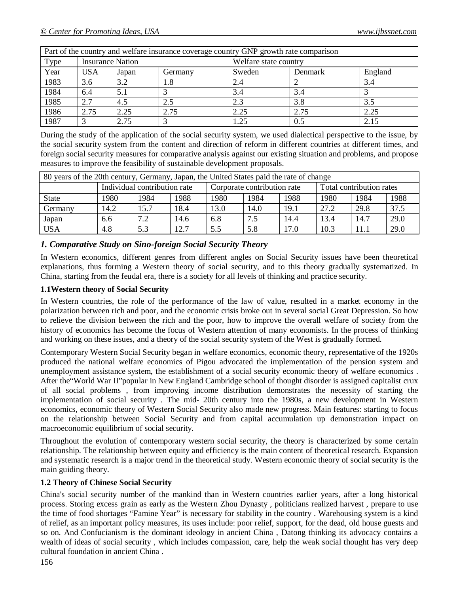| Part of the country and welfare insurance coverage country GNP growth rate comparison |                         |       |         |                       |         |         |  |
|---------------------------------------------------------------------------------------|-------------------------|-------|---------|-----------------------|---------|---------|--|
| Type                                                                                  | <b>Insurance Nation</b> |       |         | Welfare state country |         |         |  |
| Year                                                                                  | <b>USA</b>              | Japan | Germany | Sweden                | Denmark | England |  |
| 1983                                                                                  | 3.6                     | 3.2   | 1.8     | 2.4                   |         | 3.4     |  |
| 1984                                                                                  | 6.4                     | 5.1   |         | 3.4                   | 3.4     |         |  |
| 1985                                                                                  | 2.7                     | 4.5   | 2.5     | 2.3                   | 3.8     | 3.5     |  |
| 1986                                                                                  | 2.75                    | 2.25  | 2.75    | 2.25                  | 2.75    | 2.25    |  |
| 1987                                                                                  |                         | 2.75  |         | 1.25                  | 0.5     | 2.15    |  |

During the study of the application of the social security system, we used dialectical perspective to the issue, by the social security system from the content and direction of reform in different countries at different times, and foreign social security measures for comparative analysis against our existing situation and problems, and propose measures to improve the feasibility of sustainable development proposals.

| 80 years of the 20th century, Germany, Japan, the United States paid the rate of change |                              |      |      |                             |      |      |                          |      |      |
|-----------------------------------------------------------------------------------------|------------------------------|------|------|-----------------------------|------|------|--------------------------|------|------|
|                                                                                         | Individual contribution rate |      |      | Corporate contribution rate |      |      | Total contribution rates |      |      |
| <b>State</b>                                                                            | 1980                         | 1984 | 1988 | 1980                        | 1984 | 1988 | 1980                     | 1984 | 1988 |
| Germany                                                                                 | 14.2                         | 15.7 | 18.4 | 13.0                        | 14.0 | 19.1 | 27.2                     | 29.8 | 37.5 |
| Japan                                                                                   | 6.6                          | 7.2  | 14.6 | 6.8                         | 7.5  | 14.4 | 13.4                     | 14.7 | 29.0 |
| <b>USA</b>                                                                              | 4.8                          | 5.3  | 12.7 | 5.5                         | 5.8  | 17.0 | 10.3                     | 11.1 | 29.0 |

## *1. Comparative Study on Sino-foreign Social Security Theory*

In Western economics, different genres from different angles on Social Security issues have been theoretical explanations, thus forming a Western theory of social security, and to this theory gradually systematized. In China, starting from the feudal era, there is a society for all levels of thinking and practice security.

#### **1.1Western theory of Social Security**

In Western countries, the role of the performance of the law of value, resulted in a market economy in the polarization between rich and poor, and the economic crisis broke out in several social Great Depression. So how to relieve the division between the rich and the poor, how to improve the overall welfare of society from the history of economics has become the focus of Western attention of many economists. In the process of thinking and working on these issues, and a theory of the social security system of the West is gradually formed.

Contemporary Western Social Security began in welfare economics, economic theory, representative of the 1920s produced the national welfare economics of Pigou advocated the implementation of the pension system and unemployment assistance system, the establishment of a social security economic theory of welfare economics . After the"World War II"popular in New England Cambridge school of thought disorder is assigned capitalist crux of all social problems , from improving income distribution demonstrates the necessity of starting the implementation of social security . The mid- 20th century into the 1980s, a new development in Western economics, economic theory of Western Social Security also made new progress. Main features: starting to focus on the relationship between Social Security and from capital accumulation up demonstration impact on macroeconomic equilibrium of social security.

Throughout the evolution of contemporary western social security, the theory is characterized by some certain relationship. The relationship between equity and efficiency is the main content of theoretical research. Expansion and systematic research is a major trend in the theoretical study. Western economic theory of social security is the main guiding theory.

#### **1.2 Theory of Chinese Social Security**

China's social security number of the mankind than in Western countries earlier years, after a long historical process. Storing excess grain as early as the Western Zhou Dynasty , politicians realized harvest , prepare to use the time of food shortages "Famine Year" is necessary for stability in the country . Warehousing system is a kind of relief, as an important policy measures, its uses include: poor relief, support, for the dead, old house guests and so on. And Confucianism is the dominant ideology in ancient China , Datong thinking its advocacy contains a wealth of ideas of social security , which includes compassion, care, help the weak social thought has very deep cultural foundation in ancient China .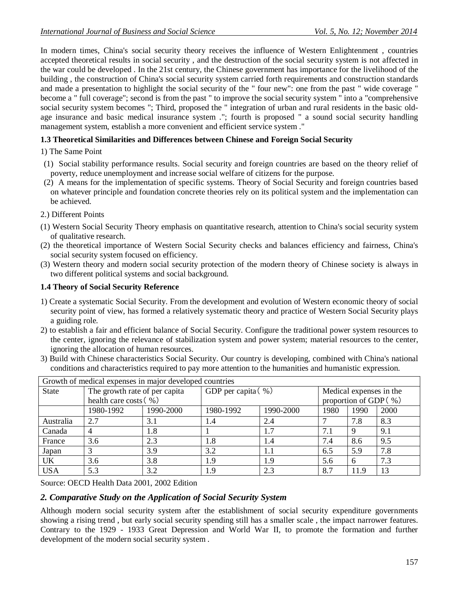In modern times, China's social security theory receives the influence of Western Enlightenment , countries accepted theoretical results in social security , and the destruction of the social security system is not affected in the war could be developed . In the 21st century, the Chinese government has importance for the livelihood of the building , the construction of China's social security system carried forth requirements and construction standards and made a presentation to highlight the social security of the " four new": one from the past " wide coverage " become a " full coverage"; second is from the past " to improve the social security system " into a "comprehensive social security system becomes "; Third, proposed the " integration of urban and rural residents in the basic oldage insurance and basic medical insurance system ."; fourth is proposed " a sound social security handling management system, establish a more convenient and efficient service system ."

## **1.3 Theoretical Similarities and Differences between Chinese and Foreign Social Security**

- 1) The Same Point
- (1) Social stability performance results. Social security and foreign countries are based on the theory relief of poverty, reduce unemployment and increase social welfare of citizens for the purpose.
- (2) A means for the implementation of specific systems. Theory of Social Security and foreign countries based on whatever principle and foundation concrete theories rely on its political system and the implementation can be achieved.
- 2.) Different Points
- (1) Western Social Security Theory emphasis on quantitative research, attention to China's social security system of qualitative research.
- (2) the theoretical importance of Western Social Security checks and balances efficiency and fairness, China's social security system focused on efficiency.
- (3) Western theory and modern social security protection of the modern theory of Chinese society is always in two different political systems and social background.

## **1.4 Theory of Social Security Reference**

- 1) Create a systematic Social Security. From the development and evolution of Western economic theory of social security point of view, has formed a relatively systematic theory and practice of Western Social Security plays a guiding role.
- 2) to establish a fair and efficient balance of Social Security. Configure the traditional power system resources to the center, ignoring the relevance of stabilization system and power system; material resources to the center, ignoring the allocation of human resources.
- 3) Build with Chinese characteristics Social Security. Our country is developing, combined with China's national conditions and characteristics required to pay more attention to the humanities and humanistic expression.

| Growth of medical expenses in major developed countries |                               |           |                        |           |                          |      |      |  |
|---------------------------------------------------------|-------------------------------|-----------|------------------------|-----------|--------------------------|------|------|--|
| <b>State</b>                                            | The growth rate of per capita |           | GDP per capita $(\% )$ |           | Medical expenses in the  |      |      |  |
|                                                         | health care costs $(\% )$     |           |                        |           | proportion of GDP $(\%)$ |      |      |  |
|                                                         | 1980-1992                     | 1990-2000 | 1980-1992              | 1990-2000 | 1980                     | 1990 | 2000 |  |
| Australia                                               | 2.7                           | 3.1       | 1.4                    | 2.4       |                          | 7.8  | 8.3  |  |
| Canada                                                  |                               | 1.8       |                        | 1.7       | 7.1                      | Q    | 9.1  |  |
| France                                                  | 3.6                           | 2.3       | 1.8                    | 1.4       | 7.4                      | 8.6  | 9.5  |  |
| Japan                                                   |                               | 3.9       | 3.2                    | 1.1       | 6.5                      | 5.9  | 7.8  |  |
| <b>UK</b>                                               | 3.6                           | 3.8       | 1.9                    | 1.9       | 5.6                      | 6    | 7.3  |  |
| <b>USA</b>                                              | 5.3                           | 3.2       | 1.9                    | 2.3       | 8.7                      | 11.9 | 13   |  |

Source: OECD Health Data 2001, 2002 Edition

#### *2. Comparative Study on the Application of Social Security System*

Although modern social security system after the establishment of social security expenditure governments showing a rising trend , but early social security spending still has a smaller scale , the impact narrower features. Contrary to the 1929 - 1933 Great Depression and World War II, to promote the formation and further development of the modern social security system .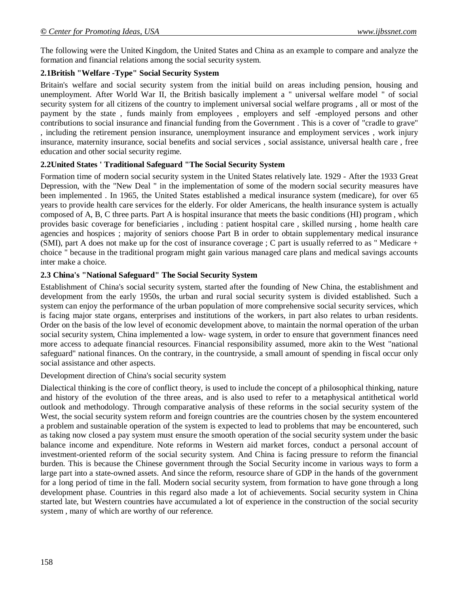The following were the United Kingdom, the United States and China as an example to compare and analyze the formation and financial relations among the social security system.

## **2.1British "Welfare -Type" Social Security System**

Britain's welfare and social security system from the initial build on areas including pension, housing and unemployment. After World War II, the British basically implement a " universal welfare model " of social security system for all citizens of the country to implement universal social welfare programs , all or most of the payment by the state , funds mainly from employees , employers and self -employed persons and other contributions to social insurance and financial funding from the Government . This is a cover of "cradle to grave" , including the retirement pension insurance, unemployment insurance and employment services , work injury insurance, maternity insurance, social benefits and social services , social assistance, universal health care , free education and other social security regime.

## **2.2United States ' Traditional Safeguard "The Social Security System**

Formation time of modern social security system in the United States relatively late. 1929 - After the 1933 Great Depression, with the "New Deal " in the implementation of some of the modern social security measures have been implemented . In 1965, the United States established a medical insurance system (medicare), for over 65 years to provide health care services for the elderly. For older Americans, the health insurance system is actually composed of A, B, C three parts. Part A is hospital insurance that meets the basic conditions (HI) program , which provides basic coverage for beneficiaries , including : patient hospital care , skilled nursing , home health care agencies and hospices ; majority of seniors choose Part B in order to obtain supplementary medical insurance (SMI), part A does not make up for the cost of insurance coverage ; C part is usually referred to as " Medicare + choice " because in the traditional program might gain various managed care plans and medical savings accounts inter make a choice.

## **2.3 China's "National Safeguard" The Social Security System**

Establishment of China's social security system, started after the founding of New China, the establishment and development from the early 1950s, the urban and rural social security system is divided established. Such a system can enjoy the performance of the urban population of more comprehensive social security services, which is facing major state organs, enterprises and institutions of the workers, in part also relates to urban residents. Order on the basis of the low level of economic development above, to maintain the normal operation of the urban social security system, China implemented a low- wage system, in order to ensure that government finances need more access to adequate financial resources. Financial responsibility assumed, more akin to the West "national safeguard" national finances. On the contrary, in the countryside, a small amount of spending in fiscal occur only social assistance and other aspects.

#### Development direction of China's social security system

Dialectical thinking is the core of conflict theory, is used to include the concept of a philosophical thinking, nature and history of the evolution of the three areas, and is also used to refer to a metaphysical antithetical world outlook and methodology. Through comparative analysis of these reforms in the social security system of the West, the social security system reform and foreign countries are the countries chosen by the system encountered a problem and sustainable operation of the system is expected to lead to problems that may be encountered, such as taking now closed a pay system must ensure the smooth operation of the social security system under the basic balance income and expenditure. Note reforms in Western aid market forces, conduct a personal account of investment-oriented reform of the social security system. And China is facing pressure to reform the financial burden. This is because the Chinese government through the Social Security income in various ways to form a large part into a state-owned assets. And since the reform, resource share of GDP in the hands of the government for a long period of time in the fall. Modern social security system, from formation to have gone through a long development phase. Countries in this regard also made a lot of achievements. Social security system in China started late, but Western countries have accumulated a lot of experience in the construction of the social security system , many of which are worthy of our reference.